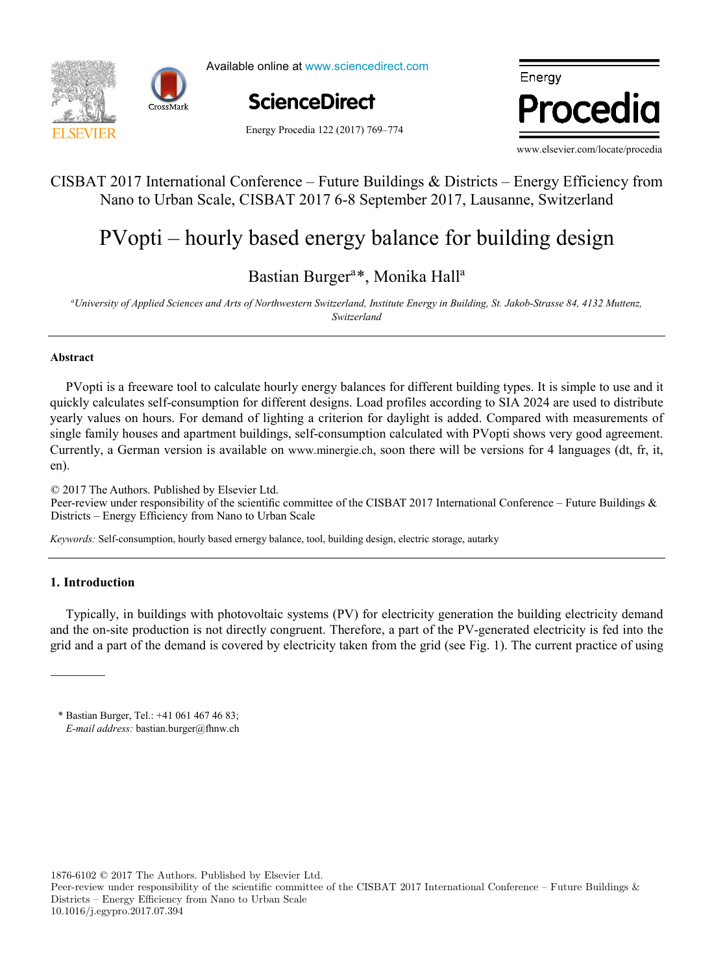



Available online at www.sciencedirect.com

**ScienceDirect** ScienceDirect

Energy Procedia 122 (2017) 769–774



www.elsevier.com/locate/procedia

, O. Le Correct de la Correct de la Correct de la Correct de la Correct de la Correct de la Correct de la Corr<br>1990 : la Correct de la Correct de la Correct de la Correct de la Correct de la Correct de la Correct de la Co

# $\overline{C}$ CISBAT 2017 International Conference – Future Buildings & Districts – Energy Efficiency from Nano to Urban Scale, CISBAT 2017 6-8 September 2017, Lausanne, Switzerland

# PVopti – hourly based energy balance for building design PVopti – hourly based energy balance for building design

#### Bastian Burger<sup>a\*</sup>, Monika Hall<sup>a</sup>  $\mathbf{B}$   $\mathbf{B}$   $\mathbf{B}$   $\mathbf{B}$   $\mathbf{B}$   $\mathbf{B}$   $\mathbf{B}$   $\mathbf{B}$   $\mathbf{B}$   $\mathbf{B}$   $\mathbf{B}$   $\mathbf{B}$   $\mathbf{B}$   $\mathbf{B}$   $\mathbf{B}$   $\mathbf{B}$   $\mathbf{B}$   $\mathbf{B}$   $\mathbf{B}$   $\mathbf{B}$   $\mathbf{B}$   $\mathbf{B}$   $\mathbf{B}$   $\mathbf{B}$   $\mathbf{$ Bastian Burger<sup>a\*</sup>, Monika Hall<sup>a</sup>

<sup>a</sup>University of Applied Sciences and Arts of Northwestern Switzerland, Institute Energy in Building, St. Jakob-Strasse 84, 4132 Muttenz, *University of Applied Sciences and Arts of Northwestern Switzerland, Institute Energy in Building, St. Jakob-Strasse 84, 4132 Muttenz, Switzerland*

, J. Fournier<sup>b</sup>

., B. Lacarente de Lacarente de Lacarente de Lacarente de Lacarente de Lacarente de Lacarente de Lacarente de<br>1970 : Lacarente de Lacarente de Lacarente de Lacarente de Lacarente de Lacarente de Lacarente de Lacarente d

#### *a* **Abstract**

I. Andrić

PVopti is a freeware tool to calculate hourly energy balances for different building types. It is simple to use and it Currently, a German version is available on www.minergie.ch, soon there will be versions for 4 languages (dt, fr, it,  $\mathcal{L}_{\mathcal{P}}$ quickly calculates self-consumption for different designs. Load profiles according to SIA 2024 are used to distribute yearly values on hours. For demand of lighting a criterion for daylight is added. Compared with measurements of single family houses and apartment buildings, self-consumption calculated with PVopti shows very good agreement. en).

© 2017 The Authors. Published by Elsevier Ltd.

a,b,c\*, A. Pinaa

 $\approx$  2017 The Additions. Tubilished by Eisevier Edd.<br>Peer-review under responsibility of the scientific committee of the CISBAT 2017 International Conference – Future Buildings & Districts – Energy Efficiency from Nano to Urban Scale  $\text{F}$   $\text{F}$  –  $\text{F}$   $\text{F}$   $\text{F}$   $\text{F}$   $\text{F}$  and  $\text{F}$   $\text{F}$   $\text{F}$   $\text{F}$   $\text{F}$   $\text{F}$   $\text{F}$   $\text{F}$   $\text{F}$   $\text{F}$   $\text{F}$   $\text{F}$   $\text{F}$   $\text{F}$   $\text{F}$   $\text{F}$   $\text{F}$   $\text{F}$   $\text{F}$   $\text{F}$ 

 $T_{\text{enward}}$ . Self consumption, bourly besed ernergy belongs tool, building design, electric storage, autorly  $T_{\text{enward}}$ Keywords: Self-consumption, hourly based ernergy balance, tool, building design, electric storage, autarky *Keywords:* Self-consumption, hourly based ernergy balance, tool, building design, electric storage, autarky

, P. Ferrãoa, P. Ferrãoa, P. Ferrãoa, P. Ferrãoa, P. Ferrãoa, P. Ferrãoa, P. Ferrãoa, P. Ferrãoa, P. Ferrãoa,

#### Integration scenarios were developed (shallow, integration). To estimate the error, obtained heat demand values were were demand values were demand values were demand values were demand values were demand values were deman compared with results from a dynamic heat demand model, previously developed and validated by the authors. **1. Introduction**

The results showed that when only weather change is considered, the margin of error could be acceptable for some applications Typically, in buildings with photovoltaic systems (PV) for electricity generation the building electricity demand and the on-site production is not directly congruent. Therefore, a part of the PV-generated electricity is fed into the grid and a part of the demand is covered by electricity taken from the grid (see Fig. 1). The current practice of using

renovation scenarios considered). On the other hand, function intercept increased for 7.8-12.7% per decade (depending on the

buildings that vary in both construction period and typology. Three weather scenarios (low, medium, high) and three district

\* Bastian Burger, Tel.: +41 061 467 46 83; E-mail address: bastian.burger@fhnw.ch

 $1876-6102$  © 2017 The Authors. Published by Elsevier Ltd.

Peer-review under responsibility of the scientific committee of the CISBAT 2017 International Conference – Future Buildings & Districts – Energy Efficiency from Nano to Urban Scale 10.1016/j.egypro.2017.07.394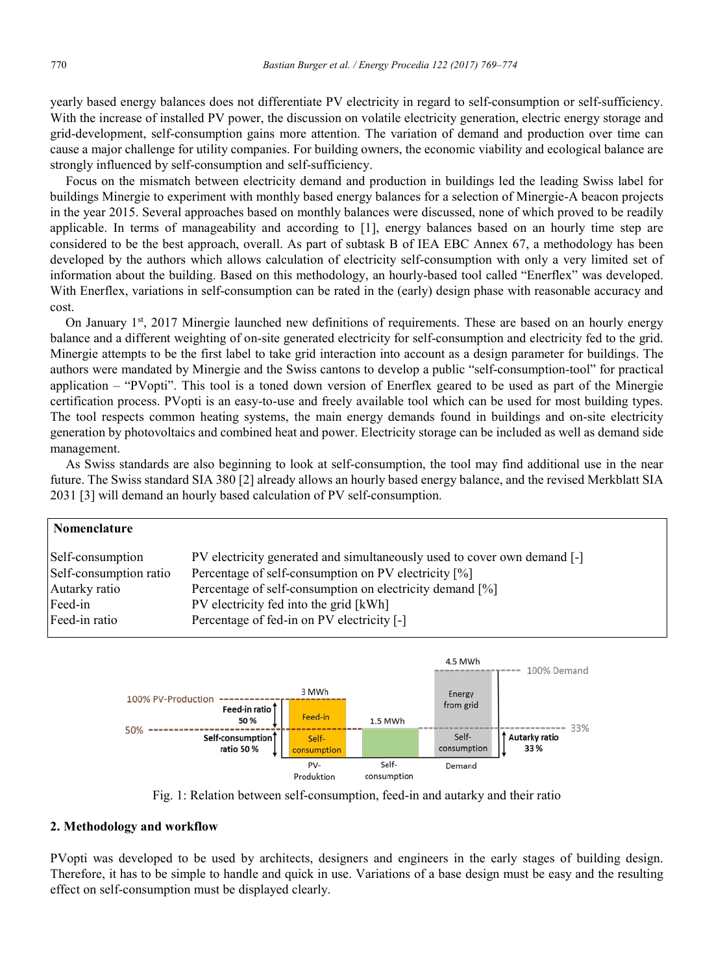yearly based energy balances does not differentiate PV electricity in regard to self-consumption or self-sufficiency. With the increase of installed PV power, the discussion on volatile electricity generation, electric energy storage and grid-development, self-consumption gains more attention. The variation of demand and production over time can cause a major challenge for utility companies. For building owners, the economic viability and ecological balance are strongly influenced by self-consumption and self-sufficiency.

Focus on the mismatch between electricity demand and production in buildings led the leading Swiss label for buildings Minergie to experiment with monthly based energy balances for a selection of Minergie-A beacon projects in the year 2015. Several approaches based on monthly balances were discussed, none of which proved to be readily applicable. In terms of manageability and according to [1], energy balances based on an hourly time step are considered to be the best approach, overall. As part of subtask B of IEA EBC Annex 67, a methodology has been developed by the authors which allows calculation of electricity self-consumption with only a very limited set of information about the building. Based on this methodology, an hourly-based tool called "Enerflex" was developed. With Enerflex, variations in self-consumption can be rated in the (early) design phase with reasonable accuracy and cost.

On January  $1<sup>st</sup>$ , 2017 Minergie launched new definitions of requirements. These are based on an hourly energy balance and a different weighting of on-site generated electricity for self-consumption and electricity fed to the grid. Minergie attempts to be the first label to take grid interaction into account as a design parameter for buildings. The authors were mandated by Minergie and the Swiss cantons to develop a public "self-consumption-tool" for practical application – "PVopti". This tool is a toned down version of Enerflex geared to be used as part of the Minergie certification process. PVopti is an easy-to-use and freely available tool which can be used for most building types. The tool respects common heating systems, the main energy demands found in buildings and on-site electricity generation by photovoltaics and combined heat and power. Electricity storage can be included as well as demand side management.

As Swiss standards are also beginning to look at self-consumption, the tool may find additional use in the near future. The Swiss standard SIA 380 [2] already allows an hourly based energy balance, and the revised Merkblatt SIA 2031 [3] will demand an hourly based calculation of PV self-consumption.

| Nomenclature           |                                                                          |
|------------------------|--------------------------------------------------------------------------|
| Self-consumption       | PV electricity generated and simultaneously used to cover own demand [-] |
| Self-consumption ratio | Percentage of self-consumption on PV electricity [%]                     |
| Autarky ratio          | Percentage of self-consumption on electricity demand [%]                 |
| Feed-in                | PV electricity fed into the grid [kWh]                                   |
| Feed-in ratio          | Percentage of fed-in on PV electricity [-]                               |



Fig. 1: Relation between self-consumption, feed-in and autarky and their ratio

## **2. Methodology and workflow**

PVopti was developed to be used by architects, designers and engineers in the early stages of building design. Therefore, it has to be simple to handle and quick in use. Variations of a base design must be easy and the resulting effect on self-consumption must be displayed clearly.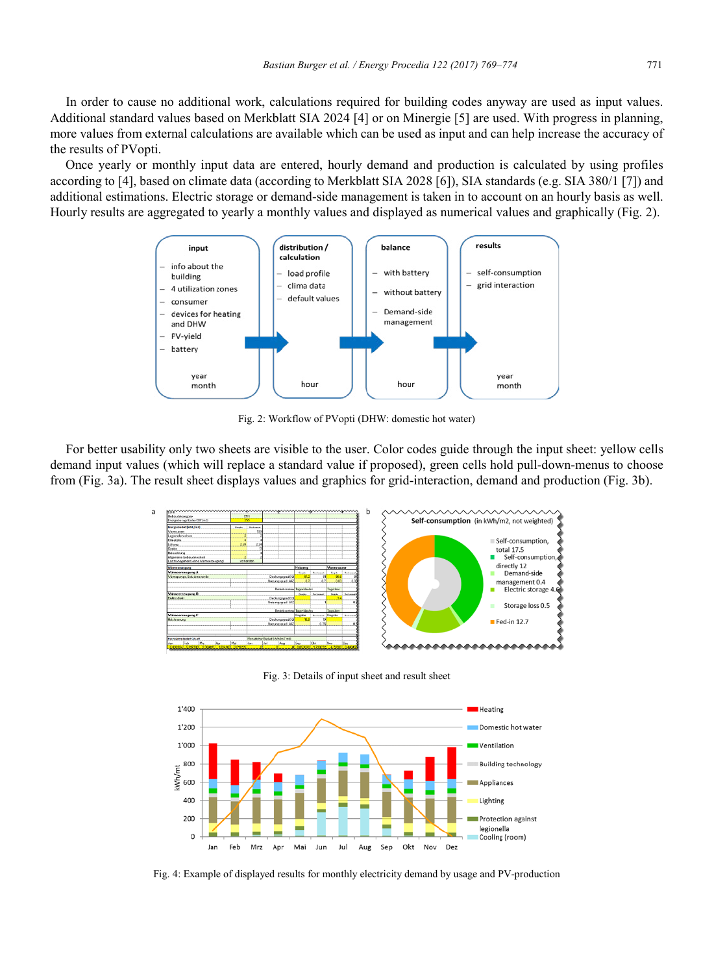In order to cause no additional work, calculations required for building codes anyway are used as input values. Additional standard values based on Merkblatt SIA 2024 [4] or on Minergie [5] are used. With progress in planning, more values from external calculations are available which can be used as input and can help increase the accuracy of the results of PVopti.

Once yearly or monthly input data are entered, hourly demand and production is calculated by using profiles according to [4], based on climate data (according to Merkblatt SIA 2028 [6]), SIA standards (e.g. SIA 380/1 [7]) and additional estimations. Electric storage or demand-side management is taken in to account on an hourly basis as well. Hourly results are aggregated to yearly a monthly values and displayed as numerical values and graphically (Fig. 2).



Fig. 2: Workflow of PVopti (DHW: domestic hot water)

For better usability only two sheets are visible to the user. Color codes guide through the input sheet: yellow cells demand input values (which will replace a standard value if proposed), green cells hold pull-down-menus to choose from (Fig. 3a). The result sheet displays values and graphics for grid-interaction, demand and production (Fig. 3b).



Fig. 3: Details of input sheet and result sheet



Fig. 4: Example of displayed results for monthly electricity demand by usage and PV-production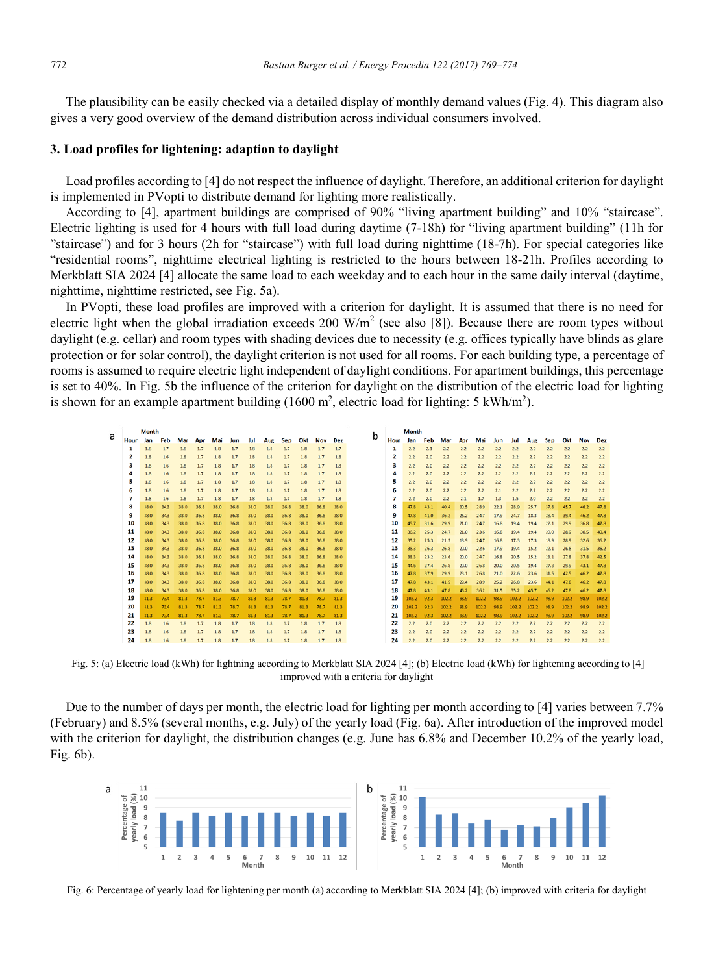The plausibility can be easily checked via a detailed display of monthly demand values (Fig. 4). This diagram also gives a very good overview of the demand distribution across individual consumers involved.

### **3. Load profiles for lightening: adaption to daylight**

Load profiles according to [4] do not respect the influence of daylight. Therefore, an additional criterion for daylight is implemented in PVopti to distribute demand for lighting more realistically.

According to [4], apartment buildings are comprised of 90% "living apartment building" and 10% "staircase". Electric lighting is used for 4 hours with full load during daytime (7-18h) for "living apartment building" (11h for "staircase") and for 3 hours (2h for "staircase") with full load during nighttime (18-7h). For special categories like "residential rooms", nighttime electrical lighting is restricted to the hours between 18-21h. Profiles according to Merkblatt SIA 2024 [4] allocate the same load to each weekday and to each hour in the same daily interval (daytime, nighttime, nighttime restricted, see Fig. 5a).

In PVopti, these load profiles are improved with a criterion for daylight. It is assumed that there is no need for electric light when the global irradiation exceeds 200 W/m<sup>2</sup> (see also [8]). Because there are room types without daylight (e.g. cellar) and room types with shading devices due to necessity (e.g. offices typically have blinds as glare protection or for solar control), the daylight criterion is not used for all rooms. For each building type, a percentage of rooms is assumed to require electric light independent of daylight conditions. For apartment buildings, this percentage is set to 40%. In Fig. 5b the influence of the criterion for daylight on the distribution of the electric load for lighting is shown for an example apartment building  $(1600 \text{ m}^2, \text{electric load for lighting: } 5 \text{ kWh/m}^2)$ .

|   |      | Month |      |      |      |      |      |       |      |      |      |      |       |   |      | Month |      |       |      |       |      |         |       |             |       |            |       |
|---|------|-------|------|------|------|------|------|-------|------|------|------|------|-------|---|------|-------|------|-------|------|-------|------|---------|-------|-------------|-------|------------|-------|
| a | Hour | Jan   | Feb  | Mar  | Apr  | Mai  | Jun  | Jul   | Aug  | Seo  | Okt  | Nov  | Dez   | b | Hour | Jan   | Feb  | Mar   | Apr  | Mai   | Jun  | Jul     | Aug   | Sep         | Okt   | <b>Nov</b> | Dez   |
|   |      | 1.8   | 1.7  | 1.8  | 1.7  | 1.8  | 1.7  | 1.8   | 1.8  |      | 1.8  | 1.7  | 1.7   |   | 1    | 2.2   | 2.1  | 2.2   | 2.2  | 2.2   | 2.2  | 2.2     | 2.2   | 22          | 22    | 2.2        | 2.2   |
|   |      | 1.8   | 1.6  | 1.8  | 1.7  | 1.8  | 1.7  | 1.8   | 1.8  | 1.7  | 1.8  | 1.7  | 1.8   |   | 2    | 2.2   | 2.0  | 2.2   | 2.2  | 2.2   | 2.2  | 2.2     | 2.2   | 22          | 2.2   | 2.2        | 2.2   |
|   |      | 1.8   | 1.6  | 1.8  | 1.7  | 1.8  | 1.7  | 1.8   | 1.8  |      | 1.8  | 1.7  | 1.8   |   | з    | 2.2   | 2.0  | 22    | 2.2  | 2.2   | 2.2  | 2.2     | 2.2   | 22          | 2.2   | 2.2        | 2.2   |
|   | Δ    | 1.8   | 1.6  | 1.8  | 1.7  | 1.8  | 1.7  | 1.8   | 1.8  | 1.7  | 1.8  | 1.7  | 1.8   |   | Δ    | 2.2   | 2.0  | 22    | 2.2  | 2.2   | 2.2  | 2.2     | 2.2   | 22          | 2.2   | 2.2        | 2.2   |
|   | 5    | 1.8   | 1.6  | 1.8  | 1.7  | 18   | 1.7  | 1.8   | 1.8  | 1.7  | 1.8  | 1.7  | 1.8   |   | 5    | 2.2   | 2.0  | 22    | 2.2  | 2.2   | 2.2  | 2.2     | 2.2   | 22          | 2.2   | 2.2        | 2.2   |
|   | 6    | 1.8   | 1.6  | 1.8  | 1.7  | 1.8  | 1.7  | 1.3   | 1.8  | 1.7  | 1.8  | 1.7  | 1.8   |   | 6    | 2.2   | 2.0  | 2.2   | 2.2  | 2.2   | 2.1  | 2.2     | 2.2   | 22          | 2.2   | 2.2        | 2.2   |
|   | 7    | 1.8   | 1.6  | 1.8  | 1.7  | 1.8  | 1.7  | 1.8   | 1.8  | 1.7  | 1.8  | 1.7  | 1.8   |   | 7    | 2.2   | 2.0  | 22    | 2.1  | 1.7   | 1.3  | 1.5     | 2.0   | 22          | 2.2   | 2.2        | 2.2   |
|   | я    | 38.0  | 34.3 | 33.0 | 36.8 | 38.0 | 36.8 | 38.0  | 38.0 | 36.8 | 38.0 | 36.5 | 38.0  |   | 8    | 47.8  | 43.1 | 40.4  | 30.5 | 28.9  | 22.1 | 28.9    | 25.7  | 37.8        | 45.7  | 46.2       | 47.8  |
|   | 9    | 38.0  | 34.3 | 33.0 | 36.8 | 38.0 | 36.8 | 38.0  | 38.0 | 36.8 | 38.0 | 36.8 | 38.0  |   | 9    | 47.8  | 41.0 | 36.2  | 25.2 | 247   | 17.9 | 24.7    | 18.3  | 28.4        | 39.4  | 46.2       | 47.8  |
|   | 10   | 38.0  | 34.3 | 38.0 | 36.8 | 38.0 | 36.8 | 38.0  | 38.0 | 36.8 | 38.0 | 36.8 | 38.0  |   | 10   | 45.7  | 31.6 | 29.9  | 21.0 | 247   | 16.8 | 19.4    | 19.4  | 22.1        | 29.9  | 36.8       | 47.8  |
|   | 11   | 380   | 34.3 | 33.0 | 36.8 | 38.0 | 36.8 | 38.0  | 38.D | 36.8 | 38.0 | 36.8 | 38.0  |   | 11   | 36.2  | 25.3 | 24.7  | 21.0 | 23.6  | 16.8 | 19.4    | 19.4  | 20.0        | 28.9  | 30.5       | 40.4  |
|   | 12   | 38.0  | 34.3 | 33.0 | 36.8 | 38.0 | 36.8 | 38.0  | 38.0 | 36.8 | 38.0 | 36.8 | 38.0  |   | 12   | 35.2  | 25.3 | 21.5  | 18.9 | 247   | 16.8 | 17.3    | 17.3  | 18.9        | 28.9  | 32.6       | 36.2  |
|   | 13   | 38.0  | 343  | 38.0 | 36.8 | 38.0 | 36.8 | 38.0  | 38.0 | 36.8 | 38.0 | 36.8 | 38.0  |   | 13   | 38.3  | 26.3 | 26.8  | 20.0 | 226   | 17.9 | 19.4    | 15.2  | 22.1        | 26.8  | 31.5       | 36.2  |
|   | 14   | 38.0  | 34.3 | 33.0 | 36.8 | 38.0 | 36.8 | 38.0  | 38.0 | 36.8 | 38.0 | 36.8 | 38.0  |   | 14   | 38.3  | 23.2 | 23.6  | 20.0 | 247   | 16.8 | 20.5    | 15.2  | 23.1        | 27.8  | 37.8       | 42.5  |
|   | 15   | 38.0  | 34.3 | 33.0 | 36.8 | 38.0 | 36.8 | 38.0  | 38.0 | 36.8 | 38.0 | 36.8 | 38.0  |   | 15   | 44.6  | 27.4 | 26.8  | 20.0 | 26.8  | 20.0 | 20.5    | 19.4  | 27.3        | 29.9  | 43.1       | 47.8  |
|   | 16   | 38.0  | 34.3 | 38.0 | 36.8 | 38.0 | 36.8 | 38.0  | 38.0 | 36.8 | 38.0 | 36.8 | 38.0  |   | 16   | 47.8  | 37.9 | 29.9  | 23.1 | 268   | 21.0 | 22.6    | 23.6  | 31.5        |       | 46.2       | 47.8  |
|   | 17   | 38.0  | 343  | 33.0 | 36.8 | 38.0 | 36.8 | 38.0  | 38.0 | 36.8 | 38.0 | 36.8 | 38.0  |   | 17   | 47.8  | 43.1 | 41.5  | 29.4 | 289   | 25.2 | 26.8    | 23.6  | 44.1        | 47.8  | 46.2       | 47.8  |
|   | 18   | 38.0  | 34.3 | 33.0 | 36.8 | 38.0 | 36.8 | 38.0  | 38.0 | 36.8 | 38.0 | 36.8 | 38.0  |   | 18   | 47.8  | 43.1 | 47.8  | 46.2 | 36.2  | 31.5 | 35.2    | 45.7  | 46.2        |       | 46.2       | 47.8  |
|   | 19   | 81.3  | 73.4 | 81.3 | 78.7 | 81.3 | 78.7 | 81.3  | 81.3 | 78.7 | 81.3 | 78.7 | 81.3  |   | 19   | 102.2 | 92.3 | 102.2 | 98.9 | 102.2 | 98.9 | 102.2   |       | 98.9        | 102.2 | 58.9       | 102.2 |
|   | 20   | 81.3  | 73.4 | 81.3 | 78.7 | 81.3 | 78.7 | \$1.3 | 81.3 | 78.7 | 81.3 | 78.7 | \$1.3 |   | 20   | 102.2 | 92.3 | 102.2 | 98.9 | 102.2 | 98.9 | 102.2   | 102.2 | 98.9        | 102.2 | 98.9       | 102.2 |
|   | 21   | 81.3  | 73.4 | 81.3 | 78.7 | 81.3 | 78.7 | \$1.3 | 81.3 | 78.7 | 81.3 | 78.7 | 81.3  |   | 21   | 102.2 | 92.3 | 102.2 | 98.9 | 102.2 | 98.9 | 102.2   | 102.2 | 98.9        | 102.2 | 98.9       | 102.2 |
|   | 22   | 1.8   | 1.6  | 1.8  | 1.7  | 18   | 1.7  | 1.8   | 1.8  | 1.7  | 1.8  | 1.7  | 1.8   |   | 22   | 2.2   | 2.0  | 22    | 2.2  | 2.2   | 2.2  | 2.2     | 2.2   | 22          | 2.2   | 2.2        | 22    |
|   | 23   | 1.8   | 1.6  | 18   | 1.7  | 1.8  | 1.7  | 1.8   | 1.8  | 1.7  | 18   | 1.7  | 1.8   |   | 23   | 2.2   | 2.0  | 22    | 2.2  | 2.2   | 2.2  | 2.2     | 2.2   | 22          | 2.2   | 2.2        | 2.2   |
|   | 24   | 1.8   | 1.6  | 1.8  | 1.7  | 1.8  | 1.7  | 1.8   | 1.8  | 1.7  | 1.8  | 1.7  | 1.8   |   | 24   | 2.2   | 2.0  | 2.2   | 2.2  | 2.2   |      | 2.2 2.2 |       | $2.2$ $2.2$ | 2.2   | 2.2        | 2.2   |

Fig. 5: (a) Electric load (kWh) for lightning according to Merkblatt SIA 2024 [4]; (b) Electric load (kWh) for lightening according to [4] improved with a criteria for daylight

Due to the number of days per month, the electric load for lighting per month according to [4] varies between 7.7% (February) and 8.5% (several months, e.g. July) of the yearly load (Fig. 6a). After introduction of the improved model with the criterion for daylight, the distribution changes (e.g. June has 6.8% and December 10.2% of the yearly load, Fig. 6b).



Fig. 6: Percentage of yearly load for lightening per month (a) according to Merkblatt SIA 2024 [4]; (b) improved with criteria for daylight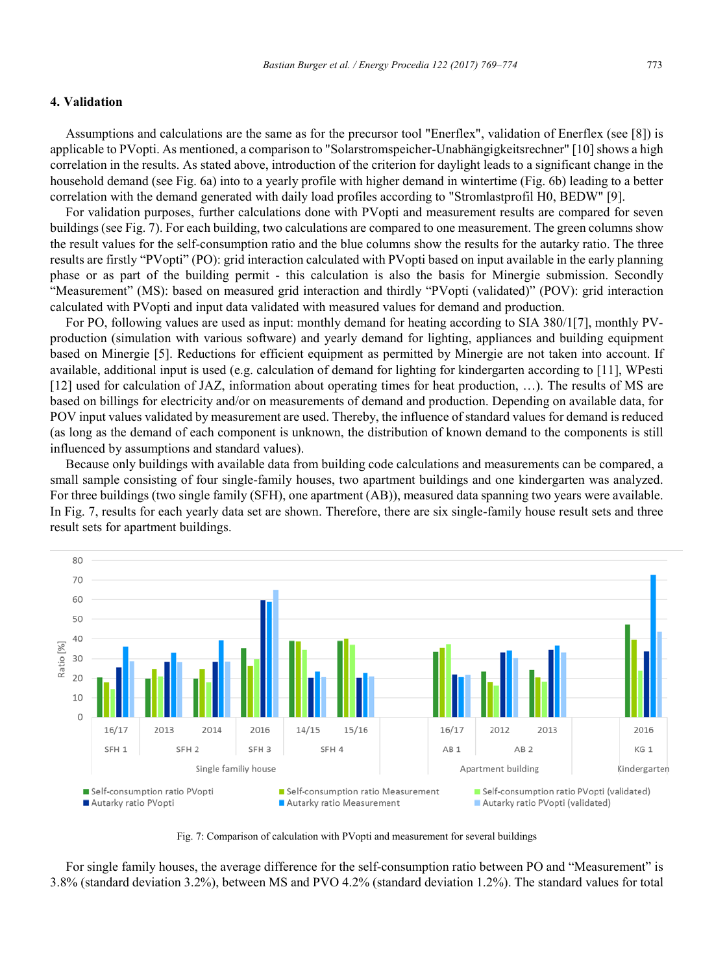### **4. Validation**

Assumptions and calculations are the same as for the precursor tool "Enerflex", validation of Enerflex (see [8]) is applicable to PVopti. As mentioned, a comparison to "Solarstromspeicher-Unabhängigkeitsrechner" [10] shows a high correlation in the results. As stated above, introduction of the criterion for daylight leads to a significant change in the household demand (see Fig. 6a) into to a yearly profile with higher demand in wintertime (Fig. 6b) leading to a better correlation with the demand generated with daily load profiles according to "Stromlastprofil H0, BEDW" [9].

For validation purposes, further calculations done with PVopti and measurement results are compared for seven buildings (see Fig. 7). For each building, two calculations are compared to one measurement. The green columns show the result values for the self-consumption ratio and the blue columns show the results for the autarky ratio. The three results are firstly "PVopti" (PO): grid interaction calculated with PVopti based on input available in the early planning phase or as part of the building permit - this calculation is also the basis for Minergie submission. Secondly "Measurement" (MS): based on measured grid interaction and thirdly "PVopti (validated)" (POV): grid interaction calculated with PVopti and input data validated with measured values for demand and production.

For PO, following values are used as input: monthly demand for heating according to SIA 380/1[7], monthly PVproduction (simulation with various software) and yearly demand for lighting, appliances and building equipment based on Minergie [5]. Reductions for efficient equipment as permitted by Minergie are not taken into account. If available, additional input is used (e.g. calculation of demand for lighting for kindergarten according to [11], WPesti [12] used for calculation of JAZ, information about operating times for heat production, …). The results of MS are based on billings for electricity and/or on measurements of demand and production. Depending on available data, for POV input values validated by measurement are used. Thereby, the influence of standard values for demand is reduced (as long as the demand of each component is unknown, the distribution of known demand to the components is still influenced by assumptions and standard values).

Because only buildings with available data from building code calculations and measurements can be compared, a small sample consisting of four single-family houses, two apartment buildings and one kindergarten was analyzed. For three buildings (two single family (SFH), one apartment (AB)), measured data spanning two years were available. In Fig. 7, results for each yearly data set are shown. Therefore, there are six single-family house result sets and three result sets for apartment buildings.



Fig. 7: Comparison of calculation with PVopti and measurement for several buildings

For single family houses, the average difference for the self-consumption ratio between PO and "Measurement" is 3.8% (standard deviation 3.2%), between MS and PVO 4.2% (standard deviation 1.2%). The standard values for total